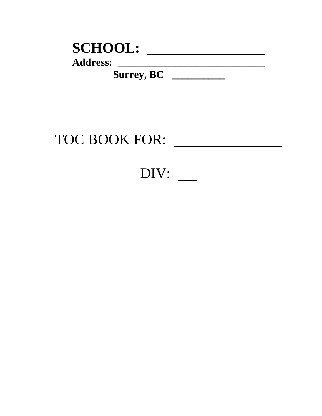| <b>SCHOOL:</b>    |  |
|-------------------|--|
| <b>Address:</b>   |  |
| <b>Surrey, BC</b> |  |

# TOC BOOK FOR:

# DIV: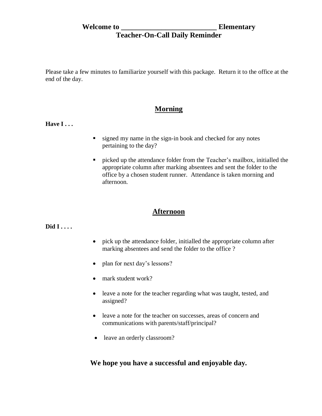**Welcome to \_\_\_\_\_\_\_\_\_\_\_\_\_\_\_\_\_\_\_\_\_\_\_\_\_\_ Elementary**

## **Teacher-On-Call Daily Reminder**

Please take a few minutes to familiarize yourself with this package. Return it to the office at the end of the day.

### **Morning**

**Have I...** 

- signed my name in the sign-in book and checked for any notes pertaining to the day?
- picked up the attendance folder from the Teacher's mailbox, initialled the appropriate column after marking absentees and sent the folder to the office by a chosen student runner. Attendance is taken morning and afternoon.

## **Afternoon**

#### **Did I . . . .**

- pick up the attendance folder, initialled the appropriate column after marking absentees and send the folder to the office ?
- plan for next day's lessons?
- mark student work?
- leave a note for the teacher regarding what was taught, tested, and assigned?
- leave a note for the teacher on successes, areas of concern and communications with parents/staff/principal?
- leave an orderly classroom?

### **We hope you have a successful and enjoyable day.**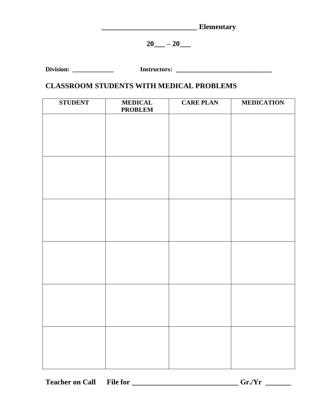| <b>Ementary</b> |  |
|-----------------|--|
|                 |  |

 $20$  –  $20$  –

| <b>Division:</b> | Instructors: |
|------------------|--------------|
|------------------|--------------|

## **CLASSROOM STUDENTS WITH MEDICAL PROBLEMS**

| <b>STUDENT</b> | <b>MEDICAL</b><br><b>PROBLEM</b> | <b>CARE PLAN</b> | <b>MEDICATION</b> |
|----------------|----------------------------------|------------------|-------------------|
|                |                                  |                  |                   |
|                |                                  |                  |                   |
|                |                                  |                  |                   |
|                |                                  |                  |                   |
|                |                                  |                  |                   |
|                |                                  |                  |                   |
|                |                                  |                  |                   |
|                |                                  |                  |                   |
|                |                                  |                  |                   |
|                |                                  |                  |                   |
|                |                                  |                  |                   |
|                |                                  |                  |                   |
|                |                                  |                  |                   |
|                |                                  |                  |                   |
|                |                                  |                  |                   |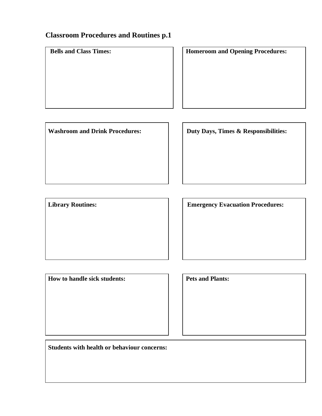# **Classroom Procedures and Routines p.1**

| <b>Bells and Class Times:</b>         | <b>Homeroom and Opening Procedures:</b> |
|---------------------------------------|-----------------------------------------|
| <b>Washroom and Drink Procedures:</b> | Duty Days, Times & Responsibilities:    |
|                                       |                                         |
| <b>Library Routines:</b>              | <b>Emergency Evacuation Procedures:</b> |

 **Pets and Plants:** Pets and Plants:

 **Students with health or behaviour concerns:**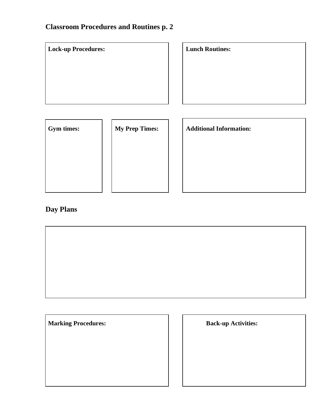# **Classroom Procedures and Routines p. 2**

| <b>Lock-up Procedures:</b> |                       | <b>Lunch Routines:</b>         |
|----------------------------|-----------------------|--------------------------------|
| Gym times:                 | <b>My Prep Times:</b> | <b>Additional Information:</b> |

# **Day Plans**



| <b>Back-up Activities:</b> |
|----------------------------|
|                            |
|                            |
|                            |
|                            |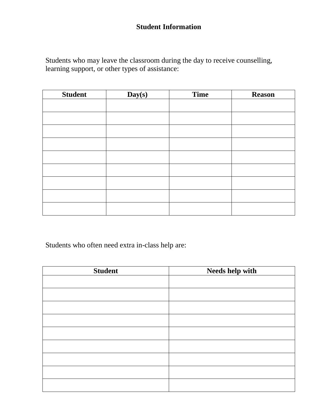# **Student Information**

Students who may leave the classroom during the day to receive counselling, learning support, or other types of assistance:

| <b>Student</b> | Day(s) | <b>Time</b> | <b>Reason</b> |
|----------------|--------|-------------|---------------|
|                |        |             |               |
|                |        |             |               |
|                |        |             |               |
|                |        |             |               |
|                |        |             |               |
|                |        |             |               |
|                |        |             |               |
|                |        |             |               |
|                |        |             |               |

Students who often need extra in-class help are:

| <b>Student</b> | Needs help with |
|----------------|-----------------|
|                |                 |
|                |                 |
|                |                 |
|                |                 |
|                |                 |
|                |                 |
|                |                 |
|                |                 |
|                |                 |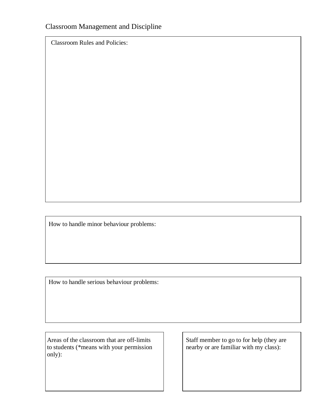Classroom Rules and Policies:

How to handle minor behaviour problems:

How to handle serious behaviour problems:

Areas of the classroom that are off-limits to staff member to go to for help (they are to students (\*means with your permission to students (\*means with your permission only):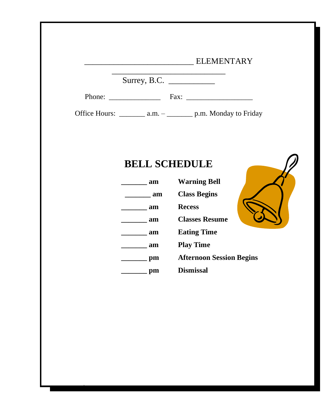| <b>ELEMENTARY</b> |
|-------------------|
|-------------------|

 $\mathcal{L}_\text{max}$ 

Surrey, B.C. \_\_\_\_\_\_\_\_\_\_\_

Phone: \_\_\_\_\_\_\_\_\_\_\_\_\_\_ Fax: \_\_\_\_\_\_\_\_\_\_\_\_\_\_\_\_\_\_

Office Hours: \_\_\_\_\_\_\_\_ a.m. – \_\_\_\_\_\_\_\_ p.m. Monday to Friday

# **BELL SCHEDULE**

*\*

| am | <b>Warning Bell</b>             |
|----|---------------------------------|
| am | <b>Class Begins</b>             |
| am | <b>Recess</b>                   |
| am | <b>Classes Resume</b>           |
| am | <b>Eating Time</b>              |
| am | <b>Play Time</b>                |
| pm | <b>Afternoon Session Begins</b> |
|    | <b>Dismissal</b>                |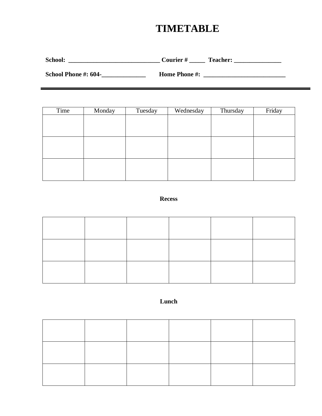# **TIMETABLE**

**School: \_\_\_\_\_\_\_\_\_\_\_\_\_\_\_\_\_\_\_\_\_\_\_\_\_\_\_\_\_ Courier # \_\_\_\_\_ Teacher: \_\_\_\_\_\_\_\_\_\_\_\_\_\_\_**

**School Phone #: 604-\_\_\_\_\_\_\_\_\_\_\_\_\_\_ Home Phone #: \_\_\_\_\_\_\_\_\_\_\_\_\_\_\_\_\_\_\_\_\_\_\_\_\_\_**

| Time | Monday | Tuesday | Wednesday | Thursday | Friday |
|------|--------|---------|-----------|----------|--------|
|      |        |         |           |          |        |
|      |        |         |           |          |        |
|      |        |         |           |          |        |
|      |        |         |           |          |        |
|      |        |         |           |          |        |
|      |        |         |           |          |        |
|      |        |         |           |          |        |
|      |        |         |           |          |        |
|      |        |         |           |          |        |

#### **Recess**

#### **Lunch**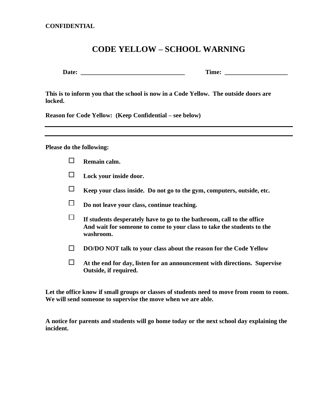**CONFIDENTIAL**

## **CODE YELLOW – SCHOOL WARNING**

 **Date: \_\_\_\_\_\_\_\_\_\_\_\_\_\_\_\_\_\_\_\_\_\_\_\_\_\_\_\_\_\_\_\_\_ Time: \_\_\_\_\_\_\_\_\_\_\_\_\_\_\_\_\_\_\_\_**

**This is to inform you that the school is now in a Code Yellow. The outside doors are locked.**

**Reason for Code Yellow: (Keep Confidential – see below)**

**Please do the following:**

- $\Box$ **Remain calm.**
- $\Box$ **Lock your inside door.**
- $\Box$ **Keep your class inside. Do not go to the gym, computers, outside, etc.**
- $\Box$ **Do not leave your class, continue teaching.**
- $\Box$ **If students desperately have to go to the bathroom, call to the office And wait for someone to come to your class to take the students to the washroom.**
- $\Box$ **DO/DO NOT talk to your class about the reason for the Code Yellow**
- $\Box$ **At the end for day, listen for an announcement with directions. Supervise Outside, if required.**

**Let the office know if small groups or classes of students need to move from room to room. We will send someone to supervise the move when we are able.**

**A notice for parents and students will go home today or the next school day explaining the incident.**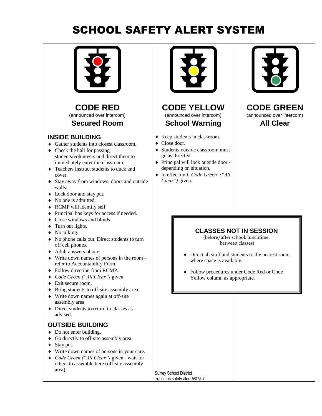# SCHOOL SAFETY ALERT SYSTEM



**CODE RED** (announced over intercom) **Secured Room**

#### **INSIDE BUILDING**

- Gather students into closest classroom.
- $\triangleleft$  Check the hall for passing students/volunteers and direct them to immediately enter the classroom.
- ◆ Teachers instruct students to duck and cover.
- Stay away from windows, doors and outside walls.
- Lock door and stay put.
- No one is admitted.
- ◆ RCMP will identify self.
- Principal has keys for access if needed.
- Close windows and blinds.
- $\triangleleft$  Turn out lights.
- No talking.
- No phone calls out. Direct students to turn off cell phones.
- Adult answers phone.
- Write down names of persons in the room refer to Accountability Form.
- Follow direction from RCMP.
- *Code Green ("All Clear")* given.
- ◆ Exit secure room.
- Bring students to off-site assembly area.
- Write down names again at off-site assembly area.
- Direct students to return to classes as advised.

### **OUTSIDE BUILDING**

- Do not enter building.
- Go directly to off-site assembly area.
- $\triangleleft$  Stay put.
- Write down names of persons in your care.
- *Code Green ("All Clear")* given wait for others to assemble here (off-site assembly area).





- Keep students in classroom.
- ◆ Close door.
- ◆ Students outside classroom must go as directed.
- Principal will lock outside door depending on situation.
- In effect until *Code Green ("All Clear")* given.



#### **CODE GREEN** (announced over intercom) **All Clear**

### **CLASSES NOT IN SESSION**

(before/after school, lunchtime, between classes)

- Direct all staff and students to the nearest room where space is available.
- Follow procedures under Code Red or Code Yellow column as appropriate.

Surrey School District rr/crit.inc.safety.alert.5/07/07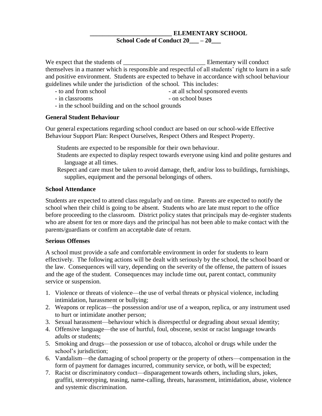#### **\_\_\_\_\_\_\_\_\_\_\_\_\_\_\_\_\_\_\_\_\_\_\_\_\_\_ ELEMENTARY SCHOOL School Code of Conduct 20\_\_\_ – 20\_\_\_**

We expect that the students of \_\_\_\_\_\_\_\_\_\_\_\_\_\_\_\_\_\_\_\_\_\_\_\_\_\_ Elementary will conduct themselves in a manner which is responsible and respectful of all students' right to learn in a safe and positive environment. Students are expected to behave in accordance with school behaviour guidelines while under the jurisdiction of the school. This includes:

- to and from school **can all school sponsored events**
- in classrooms on school buses
- in the school building and on the school grounds

#### **General Student Behaviour**

Our general expectations regarding school conduct are based on our school-wide Effective Behaviour Support Plan: Respect Ourselves, Respect Others and Respect Property.

Students are expected to be responsible for their own behaviour.

- Students are expected to display respect towards everyone using kind and polite gestures and language at all times.
- Respect and care must be taken to avoid damage, theft, and/or loss to buildings, furnishings, supplies, equipment and the personal belongings of others.

#### **School Attendance**

Students are expected to attend class regularly and on time. Parents are expected to notify the school when their child is going to be absent. Students who are late must report to the office before proceeding to the classroom. District policy states that principals may de-register students who are absent for ten or more days and the principal has not been able to make contact with the parents/guardians or confirm an acceptable date of return.

#### **Serious Offenses**

A school must provide a safe and comfortable environment in order for students to learn effectively. The following actions will be dealt with seriously by the school, the school board or the law. Consequences will vary, depending on the severity of the offense, the pattern of issues and the age of the student. Consequences may include time out, parent contact, community service or suspension.

- 1. Violence or threats of violence—the use of verbal threats or physical violence, including intimidation, harassment or bullying;
- 2. Weapons or replicas—the possession and/or use of a weapon, replica, or any instrument used to hurt or intimidate another person;
- 3. Sexual harassment—behaviour which is disrespectful or degrading about sexual identity;
- 4. Offensive language—the use of hurtful, foul, obscene, sexist or racist language towards adults or students;
- 5. Smoking and drugs—the possession or use of tobacco, alcohol or drugs while under the school's jurisdiction;
- 6. Vandalism—the damaging of school property or the property of others—compensation in the form of payment for damages incurred, community service, or both, will be expected;
- 7. Racist or discriminatory conduct—disparagement towards others, including slurs, jokes, graffiti, stereotyping, teasing, name-calling, threats, harassment, intimidation, abuse, violence and systemic discrimination.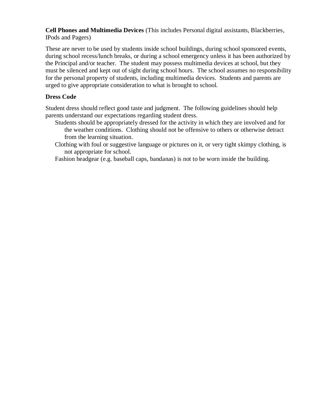**Cell Phones and Multimedia Devices** (This includes Personal digital assistants, Blackberries, IPods and Pagers)

These are never to be used by students inside school buildings, during school sponsored events, during school recess/lunch breaks, or during a school emergency unless it has been authorized by the Principal and/or teacher. The student may possess multimedia devices at school, but they must be silenced and kept out of sight during school hours. The school assumes no responsibility for the personal property of students, including multimedia devices. Students and parents are urged to give appropriate consideration to what is brought to school.

#### **Dress Code**

Student dress should reflect good taste and judgment. The following guidelines should help parents understand our expectations regarding student dress.

- Students should be appropriately dressed for the activity in which they are involved and for the weather conditions. Clothing should not be offensive to others or otherwise detract from the learning situation.
- Clothing with foul or suggestive language or pictures on it, or very tight skimpy clothing, is not appropriate for school.

Fashion headgear (e.g. baseball caps, bandanas) is not to be worn inside the building.